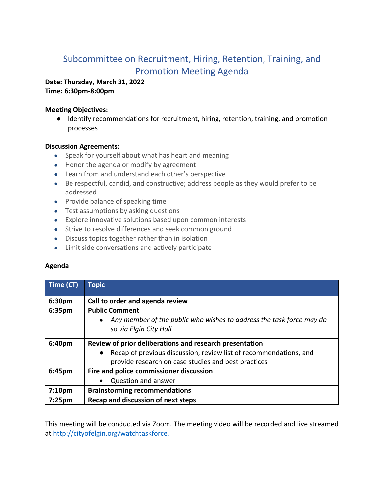# Subcommittee on Recruitment, Hiring, Retention, Training, and Promotion Meeting Agenda

### **Date: Thursday, March 31, 2022 Time: 6:30pm-8:00pm**

## **Meeting Objectives:**

● Identify recommendations for recruitment, hiring, retention, training, and promotion processes

### **Discussion Agreements:**

- Speak for yourself about what has heart and meaning
- Honor the agenda or modify by agreement
- Learn from and understand each other's perspective
- Be respectful, candid, and constructive; address people as they would prefer to be addressed
- Provide balance of speaking time
- Test assumptions by asking questions
- Explore innovative solutions based upon common interests
- Strive to resolve differences and seek common ground
- Discuss topics together rather than in isolation
- Limit side conversations and actively participate

# **Agenda**

| Time (CT)          | <b>Topic</b>                                                                                                                                                                                     |
|--------------------|--------------------------------------------------------------------------------------------------------------------------------------------------------------------------------------------------|
| 6:30pm             | Call to order and agenda review                                                                                                                                                                  |
| 6:35pm             | <b>Public Comment</b><br>Any member of the public who wishes to address the task force may do<br>so via Elgin City Hall                                                                          |
| 6:40pm             | Review of prior deliberations and research presentation<br>Recap of previous discussion, review list of recommendations, and<br>$\bullet$<br>provide research on case studies and best practices |
| 6:45pm             | Fire and police commissioner discussion<br>Question and answer                                                                                                                                   |
| 7:10 <sub>pm</sub> | <b>Brainstorming recommendations</b>                                                                                                                                                             |
| 7:25pm             | Recap and discussion of next steps                                                                                                                                                               |

This meeting will be conducted via Zoom. The meeting video will be recorded and live streamed at http://cityofelgin.org/watchtaskforce.